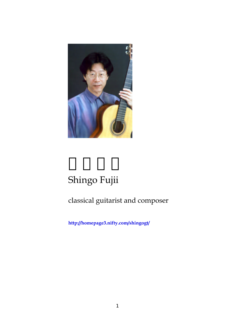

## Shingo Fujii

## classical guitarist and composer

**http://homepage3.nifty.com/shingogt/**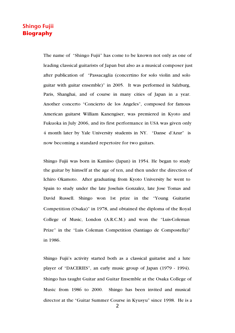## Shingo Fujii **Biography**

The name of "Shingo Fujii" has come to be known not only as one of leading classical guitarists of Japan but also as a musical composer just after publication of "Passacaglia (concertino for solo violin and solo guitar with guitar ensemble)" in 2005. It was performed in Salzburg, Paris, Shanghai, and of course in many cities of Japan in a year. Another concerto "Concierto de los Angeles", composed for famous American guitarst William Kanengiser, was premiered in Kyoto and Fukuoka in July 2006, and its first performance in USA was given only 4 month later by Yale University students in NY. "Danse d'Azur" is now becoming a standard repertoire for two guitars.

Shingo Fujii was born in Kamiiso (Japan) in 1954. He began to study the guitar by himself at the age of ten, and then under the direction of Ichiro Okamoto. After graduating from Kyoto University he went to Spain to study under the late Joseluis Gonzalez, late Jose Tomas and David Russell. Shingo won 1st prize in the "Young Guitarist Competition (Osaka)" in 1978, and obtained the diploma of the Royal College of Music, London (A.R.C.M.) and won the "Luis-Coleman Prize" in the "Luis Coleman Competition (Santiago de Compostella)" in 1986.

Shingo Fujii's activity started both as a classical guitarist and a lute player of "DACERIES", an early music group of Japan (1979 - 1994). Shingo has taught Guitar and Guitar Ensemble at the Osaka College of Music from 1986 to 2000. Shingo has been invited and musical director at the "Guitar Summer Course in Kyusyu" since 1998. He is a

*2*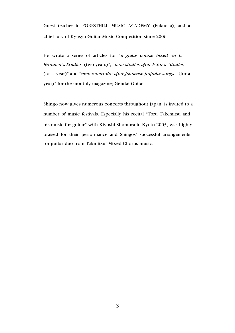Guest teacher in FORESTHILL MUSIC ACADEMY (Fukuoka), and a chief jury of Kyusyu Guitar Music Competition since 2006.

He wrote a series of articles for "*a guitar course based on L. Brouwer's Studies* (two years)", "*new studies after F.Sor's Studies* (for a year)" and "*new repertoire after Japanese popular songs* (for a year)" for the monthly magazine; Gendai Guitar.

Shingo now gives numerous concerts throughout Japan, is invited to a number of music festivals. Especially his recital "Toru Takemitsu and his music for guitar" with Kiyoshi Shomura in Kyoto 2005, was highly praised for their performance and Shingos' successful arrangements for guitar duo from Takmitsu' Mixed Chorus music.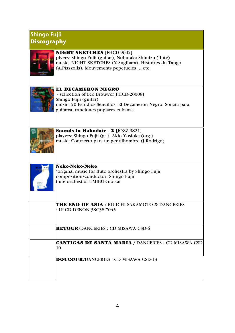## Shingo Fujii **Discography**

| <b>NIGHT SKETCHES</b> [FHCD-9602]<br>plyers: Shingo Fujii (guitar), Nobutaka Shimizu (flute)<br>music: NIGHT SKETCHES (Y.Sugihara), Histoires du Tango<br>(A.Piazzolla), Mouvements pepetueles  etc.    |
|---------------------------------------------------------------------------------------------------------------------------------------------------------------------------------------------------------|
| <b>EL DECAMERON NEGRO</b><br>- sellection of Leo Brouwer[FHCD-20008]<br>Shingo Fujii (guitar),<br>music: 20 Estudios Sencillos, El Decameron Negro, Sonata para<br>guitarra, canciones poplares cubanas |
| <b>Sounds in Hakodate - 2</b> [JOZZ-9821]<br>players: Shingo Fujii (gt.), Akio Yosioka (org.)<br>music: Concierto para un gentilhombre (J.Rodrigo)                                                      |
| Neko-Neko-Neko<br>*original music for flute orchestra by Shingo Fujii<br>composition/conductor: Shingo Fujii<br>flute orchestra: UMIBUE-no-kai                                                          |
| <b>THE END OF ASIA / RIUICHI SAKAMOTO &amp; DANCERIES</b><br>: LP-CD DENON 38C38-7045                                                                                                                   |
| <b>RETOUR/DANCERIES: CD MISAWA CSD-6</b>                                                                                                                                                                |
| <b>CANTIGAS DE SANTA MARIA / DANCERIES : CD MISAWA CSD</b><br>10                                                                                                                                        |
| <b>DOUCOUR/DANCERIES: CD MISAWA CSD-13</b>                                                                                                                                                              |